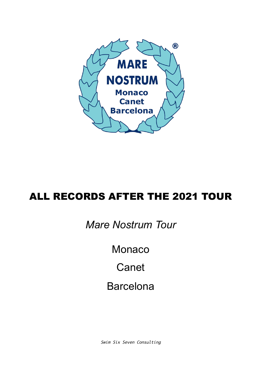

## ALL RECORDS AFTER THE 2021 TOUR

## *Mare Nostrum Tour*

Monaco

**Canet** 

## Barcelona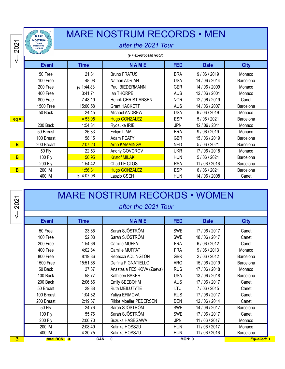| 2021                         | <b>MARE</b><br><b>NOSTRUM</b><br>Canet<br><b>Barcelona</b><br>Monaco         |                                                                | <b>MARE NOSTRUM RECORDS . MEN</b><br>after the 2021 Tour                                                                    |                                                                                  |                                                                                             |                                                                     |
|------------------------------|------------------------------------------------------------------------------|----------------------------------------------------------------|-----------------------------------------------------------------------------------------------------------------------------|----------------------------------------------------------------------------------|---------------------------------------------------------------------------------------------|---------------------------------------------------------------------|
| $\frac{1}{\sqrt{2}}$         |                                                                              |                                                                | $(e = ex-european record)$                                                                                                  |                                                                                  |                                                                                             |                                                                     |
|                              | <b>Event</b>                                                                 | <b>Time</b>                                                    | <b>NAME</b>                                                                                                                 | <b>FED</b>                                                                       | <b>Date</b>                                                                                 | <b>City</b>                                                         |
|                              | 50 Free<br>100 Free<br>200 Free<br>400 Free<br>800 Free<br><b>1500 Free</b>  | 21.31<br>48.08<br>(e 1:44.88<br>3:41.71<br>7:48.19<br>15:00.58 | <b>Bruno FRATUS</b><br>Nathan ADRIAN<br>Paul BIEDERMANN<br>lan THORPE<br><b>Henrik CHRISTIANSEN</b><br><b>Grant HACKETT</b> | <b>BRA</b><br><b>USA</b><br><b>GER</b><br><b>AUS</b><br><b>NOR</b><br><b>AUS</b> | 9/06/2019<br>14 / 06 / 2014<br>14 / 06 / 2009<br>12/06/2001<br>12/06/2019<br>14 / 06 / 2007 | Monaco<br>Barcelona<br>Monaco<br>Monaco<br>Canet<br>Barcelona       |
| $eq =$                       | 50 Back<br>200 Back                                                          | 24.45<br>$= 53.08$<br>1:54.34                                  | Michael ANDREW<br><b>Hugo GONZALEZ</b><br>Ryosuke IRIE                                                                      | <b>USA</b><br><b>ESP</b><br><b>JPN</b>                                           | 9/06/2019<br>5/06/2021<br>12 / 06 / 2011                                                    | Monaco<br>Barcelona<br>Monaco                                       |
|                              | 50 Breast<br>100 Breast                                                      | 26.33<br>58.15                                                 | Felipe LIMA<br>Adam PEATY                                                                                                   | <b>BRA</b><br><b>GBR</b>                                                         | 9/06/2019<br>15/06/2019                                                                     | Monaco<br>Barcelona                                                 |
| B<br>B<br>B                  | 200 Breast<br><b>50 Fly</b><br>100 Fly<br><b>200 Fly</b><br>200 IM<br>400 IM | 2:07.23<br>22.53<br>50.95<br>1:54.42<br>1:56.31<br>(e 4:07.96  | <b>Arno KAMMINGA</b><br>Andriy GOVOROV<br><b>Kristof MILAK</b><br>Chad LE CLOS<br><b>Hugo GONZALEZ</b><br>Laszlo CSEH       | <b>NED</b><br><b>UKR</b><br><b>HUN</b><br><b>RSA</b><br><b>ESP</b><br><b>HUN</b> | 5/06/2021<br>17/06/2018<br>5/06/2021<br>11 / 06 / 2016<br>6/06/2021<br>14 / 06 / 2008       | Barcelona<br>Monaco<br>Barcelona<br>Barcelona<br>Barcelona<br>Canet |
| 2021<br>$\frac{1}{\sqrt{2}}$ |                                                                              |                                                                | <b>MARE NOSTRUM RECORDS • WOMEN</b><br>after the 2021 Tour                                                                  |                                                                                  |                                                                                             |                                                                     |

| 2021                    |               |             | <b>MARE NOSTRUM RECORDS • WOMEN</b><br>after the 2021 Tour |            |                |             |
|-------------------------|---------------|-------------|------------------------------------------------------------|------------|----------------|-------------|
| $\overline{\mathsf{v}}$ | <b>Event</b>  | <b>Time</b> | <b>NAME</b>                                                | <b>FED</b> | <b>Date</b>    | <b>City</b> |
|                         | 50 Free       | 23.85       | Sarah SJÖSTRÖM                                             | <b>SWE</b> | 17/06/2017     | Canet       |
|                         | 100 Free      | 52.08       | Sarah SJÖSTRÖM                                             | <b>SWE</b> | 18/06/2017     | Canet       |
|                         | 200 Free      | 1:54.66     | Camille MUFFAT                                             | <b>FRA</b> | 6/06/2012      | Canet       |
|                         | 400 Free      | 4:02.84     | Camille MUFFAT                                             | <b>FRA</b> | 9/06/2013      | Monaco      |
|                         | 800 Free      | 8:19.86     | Rebecca ADLINGTON                                          | <b>GBR</b> | 2/06/2012      | Barcelona   |
|                         | 1500 Free     | 15:51.68    | Delfina PIGNATIELLO                                        | <b>ARG</b> | 15/06/2019     | Barcelona   |
|                         | 50 Back       | 27.37       | Anastasia FESIKOVA (Zueva)                                 | <b>RUS</b> | 17/06/2018     | Monaco      |
|                         | 100 Back      | 58.77       | Kathleen BAKER                                             | <b>USA</b> | 13/06/2018     | Barcelona   |
|                         | 200 Back      | 2:06.66     | Emily SEEBOHM                                              | <b>AUS</b> | 17/06/2017     | Canet       |
|                         | 50 Breast     | 29.88       | Ruta MEILUTYTE                                             | LTU        | 7/06/2015      | Canet       |
|                         | 100 Breast    | 1:04.82     | Yuliya EFIMOVA                                             | <b>RUS</b> | 17/06/2017     | Canet       |
|                         | 200 Breast    | 2:19.67     | <b>Rikke Moeller PEDERSEN</b>                              | <b>DEN</b> | 12/06/2014     | Canet       |
|                         | <b>50 Fly</b> | 24.76       | Sarah SJÖSTRÖM                                             | <b>SWE</b> | 14 / 06 / 2017 | Barcelona   |
|                         | 100 Fly       | 55.76       | Sarah SJÖSTRÖM                                             | <b>SWE</b> | 17/06/2017     | Canet       |
|                         | 200 Fly       | 2:06.70     | Suzuka HASEGAWA                                            | <b>JPN</b> | 11 / 06 / 2017 | Monaco      |
|                         | 200 IM        | 2:08.49     | Katinka HOSSZU                                             | <b>HUN</b> | 11 / 06 / 2017 | Monaco      |
|                         | 400 IM        | 4:30.75     | Katinka HOSSZU                                             | <b>HUN</b> | 11 / 06 / 2016 | Barcelona   |
| 3.                      | total BCN: 3  | CAN:        | $\mathbf{0}$                                               | MON: 0     |                | Equalled: 1 |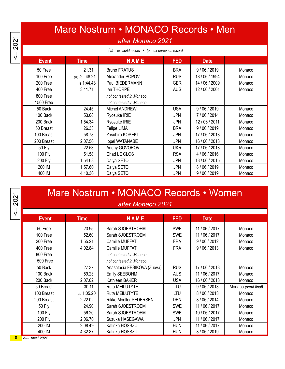$\le -2021$ 

## Mare Nostrum • MONACO Records • Men

### *after Monaco 2021*

| $(w)$ = ex-world record • (e = ex-european record |                |                                                    |            |                |        |  |
|---------------------------------------------------|----------------|----------------------------------------------------|------------|----------------|--------|--|
| <b>Event</b>                                      | <b>Time</b>    | <b>NAME</b>                                        | <b>FED</b> | <b>Date</b>    |        |  |
| 50 Free                                           | 21.31          | <b>Bruno FRATUS</b>                                | <b>BRA</b> | 9/06/2019      | Monaco |  |
| 100 Free                                          | (w) (e $48.21$ | Alexander POPOV                                    | <b>RUS</b> | 18 / 06 / 1994 | Monaco |  |
| 200 Free                                          | (e 1:44.48     | Paul BIEDERMANN                                    | <b>GER</b> | 14 / 06 / 2009 | Monaco |  |
| 400 Free                                          | 3:41.71        | lan THORPE                                         | <b>AUS</b> | 12/06/2001     | Monaco |  |
| 800 Free<br><b>1500 Free</b>                      |                | not contested in Monaco<br>not contested in Monaco |            |                |        |  |
| 50 Back                                           | 24.45          | Michel ANDREW                                      | <b>USA</b> | 9/06/2019      | Monaco |  |
| 100 Back                                          | 53.08          | Ryosuke IRIE                                       | <b>JPN</b> | 7/06/2014      | Monaco |  |
| 200 Back                                          | 1:54.34        | Ryosuke IRIE                                       | <b>JPN</b> | 12 / 06 / 2011 | Monaco |  |
| 50 Breast                                         | 26.33          | Felipe LIMA                                        | <b>BRA</b> | 9/06/2019      | Monaco |  |
| 100 Breast                                        | 58.78          | Yosuhiro KOSEKI                                    | <b>JPN</b> | 17/06/2018     | Monaco |  |
| 200 Breast                                        | 2:07.56        | Ippei WATANABE                                     | <b>JPN</b> | 16 / 06 / 2018 | Monaco |  |
| <b>50 Fly</b>                                     | 22.53          | Andriy GOVOROV                                     | <b>UKR</b> | 17/06/2018     | Monaco |  |
| 100 Fly                                           | 51.58          | Chad LE CLOS                                       | <b>RSA</b> | 4/06/2016      | Monaco |  |
| 200 Fly                                           | 1:54.68        | Daiya SETO                                         | <b>JPN</b> | 13/06/2015     | Monaco |  |
| 200 IM                                            | 1:57.60        | Daiya SETO                                         | JPN        | 8/06/2019      | Monaco |  |
| 400 IM                                            | 4:10.30        | Daiya SETO                                         | JPN        | 9/06/2019      | Monaco |  |

# Mare Nostrum • MONACO Records • Women

| after Monaco 2021 |  |  |
|-------------------|--|--|
|-------------------|--|--|

| <b>Event</b>     | <b>Time</b> | <b>NAME</b>                   | <b>FED</b> | <b>Date</b>    |                     |
|------------------|-------------|-------------------------------|------------|----------------|---------------------|
| 50 Free          | 23.95       | Sarah SJOESTROEM              | <b>SWE</b> | 11 / 06 / 2017 | Monaco              |
| 100 Free         | 52.60       | Sarah SJOESTROEM              | <b>SWE</b> | 11 / 06 / 2017 | Monaco              |
| 200 Free         | 1:55.21     | Camille MUFFAT                | <b>FRA</b> | 9/06/2012      | Monaco              |
| 400 Free         | 4:02.84     | Camille MUFFAT                | <b>FRA</b> | 9/06/2013      | Monaco              |
| 800 Free         |             | not contested in Monaco       |            |                |                     |
| <b>1500 Free</b> |             | not contested in Monaco       |            |                |                     |
| 50 Back          | 27.37       | Anasatasia FESIKOVA (Zueva)   | <b>RUS</b> | 17/06/2018     | Monaco              |
| 100 Back         | 59.23       | Emily SEEBOHM                 | <b>AUS</b> | 11 / 06 / 2017 | Monaco              |
| 200 Back         | 2:07.02     | Kathleen BAKER                | <b>USA</b> | 16 / 06 / 2018 | Monaco              |
| 50 Breast        | 30.11       | <b>Ruta MEILUTYTE</b>         | LTU        | 9/06/2013      | Monaco (semi-final) |
| 100 Breast       | (e 1:05.20  | Ruta MEILUTYTE                | LTU        | 8/06/2013      | Monaco              |
| 200 Breast       | 2:22.02     | <b>Rikke Moeller PEDERSEN</b> | <b>DEN</b> | 8/06/2014      | Monaco              |
| 50 Fly           | 24.90       | Sarah SJOESTROEM              | <b>SWE</b> | 11 / 06 / 2017 | Monaco              |
| 100 Fly          | 56.20       | Sarah SJOESTROEM              | <b>SWE</b> | 10/06/2017     | Monaco              |
| 200 Fly          | 2:06.70     | Suzuka HASEGAWA               | <b>JPN</b> | 11 / 06 / 2017 | Monaco              |
| 200 IM           | 2:08.49     | Katinka HOSSZU                | <b>HUN</b> | 11 / 06 / 2017 | Monaco              |
| 400 IM           | 4:32.87     | Katinka HOSSZU                | <b>HUN</b> | 8/06/2019      | Monaco              |

**0** *<--- total 2021*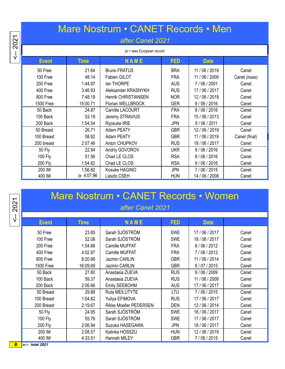## Mare Nostrum • CANET Records • Men

#### *after Canet 2021*

| (e = was European record |             |                            |            |                |               |  |  |
|--------------------------|-------------|----------------------------|------------|----------------|---------------|--|--|
| <b>Event</b>             | <b>Time</b> | <b>NAME</b>                | <b>FED</b> | <b>Date</b>    |               |  |  |
| 50 Free                  | 21.64       | <b>Bruno FRATUS</b>        | <b>BRA</b> | 11 / 06 / 2019 | Canet         |  |  |
| 100 Free                 | 48.14       | Fabien GILOT               | <b>FRA</b> | 11 / 06 / 2009 | Canet (heats) |  |  |
| 200 Free                 | 1:44.97     | lan THORPE                 | <b>AUS</b> | 7/06/2001      | Canet         |  |  |
| 400 Free                 | 3:46.93     | Aleksander KRASNYKH        | <b>RUS</b> | 17 / 06 / 2017 | Canet         |  |  |
| 800 Free                 | 7:48.19     | <b>Henrik CHRISTIANSEN</b> | <b>NOR</b> | 12/06/2019     | Canet         |  |  |
| <b>1500 Free</b>         | 15:00.71    | Florian WELLBROCK          | <b>GER</b> | 9/06/2016      | Canet         |  |  |
| 50 Back                  | 24.87       | Camille LACOURT            | <b>FRA</b> | 8/06/2016      | Canet         |  |  |
| 100 Back                 | 53.19       | Jeremy STRAVIUS            | <b>FRA</b> | 15/06/2013     | Canet         |  |  |
| 200 Back                 | 1:54.54     | Ryosuke IRIE               | <b>JPN</b> | 9/06/2011      | Canet         |  |  |
| 50 Breast                | 26.71       | Adam PEATY                 | <b>GBR</b> | 12/06/2019     | Canet         |  |  |
| 100 Breast               | 58.92       | Adam PEATY                 | <b>GBR</b> | 11 / 06 / 2019 | Canet (final) |  |  |
| 200 breast               | 2:07.46     | Anton CHUPKOV              | <b>RUS</b> | 18 / 06 / 2017 | Canet         |  |  |
| 50 Fly                   | 22.94       | Andriy GOVOROV             | <b>UKR</b> | 9/06/2016      | Canet         |  |  |
| 100 Fly                  | 51.56       | Chad LE CLOS               | <b>RSA</b> | 8/06/2016      | Canet         |  |  |
| <b>200 Fly</b>           | 1:54.82     | Chad LE CLOS               | <b>RSA</b> | 9/06/2016      | Canet         |  |  |
| 200 IM                   | 1:56.82     | Kosuke HAGINO              | <b>JPN</b> | 7/06/2015      | Canet         |  |  |
| 400 IM                   | e 4:07.96   | Laszlo CSEH                | <b>HUN</b> | 14 / 06 / 2008 | Canet         |  |  |

|              |       | Mare Nostrum • CANET Records • Women |      |             |  |
|--------------|-------|--------------------------------------|------|-------------|--|
|              |       | after Canet 2021                     |      |             |  |
|              |       |                                      |      |             |  |
| <b>Event</b> | Time' | NAME                                 | FED. | <b>Date</b> |  |

2021  $\frac{1}{\sqrt{2}}$ 

50 Free 23.85 Sarah SJÖSTRÖM SWE 17 / 06 / 2017 Canet 100 Free | 52.08 | Sarah SJÖSTRÖM | SWE | 18 / 06 / 2017 | Canet 200 Free | 1:54.66 | Camille MUFFAT | FRA | 6 / 06 / 2012 | Canet 400 Free | 4:02.97 | Camille MUFFAT | FRA | 7 / 06 / 2012 | Canet 800 Free | 8:20.68 | Jazmin CARLIN | GBR | 11 / 06 / 2014 | Canet 1500 Free 16:09.69 Jazmin CARLIN GBR 6 / 07 / 2015 Canet 50 Back 27.80 Anastasia ZUEVA RUS 9 / 06 / 2009 Canet 100 Back | 59.37 | Anastasia ZUEVA | RUS | 11 / 06 / 2009 | Canet 200 Back | 2:06.66 | Emily SEEBOHM | AUS | 17 / 06 / 2017 | Canet 50 Breast 29.88 Ruta MEILUTYTE LTU 7 / 06 / 2015 Canet 100 Breast | 1:04.82 | Yuliya EFIMOVA | RUS | 17 / 06 / 2017 | Canet 200 Breast | 2:19.67 | Rikke Moeller PEDERSEN | DEN | 12 / 06 / 2014 | Canet 50 Fly 24.95 Sarah SJÖSTRÖM SWE 18 / 06 / 2017 Canet 100 Fly 17 / 06 / 2017 | S5.76 | Sarah SJÖSTRÖM | SWE | 17 / 06 / 2017 | Canet 200 Fly | 2:06.94 | Suzuka HASEGAWA | JPN | 18 / 06 / 2017 | Canet 200 IM 2:08.57 Katinka HOSSZU HUN 12 / 06 / 2019 Canet 400 IM 4:33.51 Hannah MILEY GBR 7 / 06 / 2015 Canet 0 *<--- total 2021*

<-- 2021 <-- 2021 2021 .<br>اب